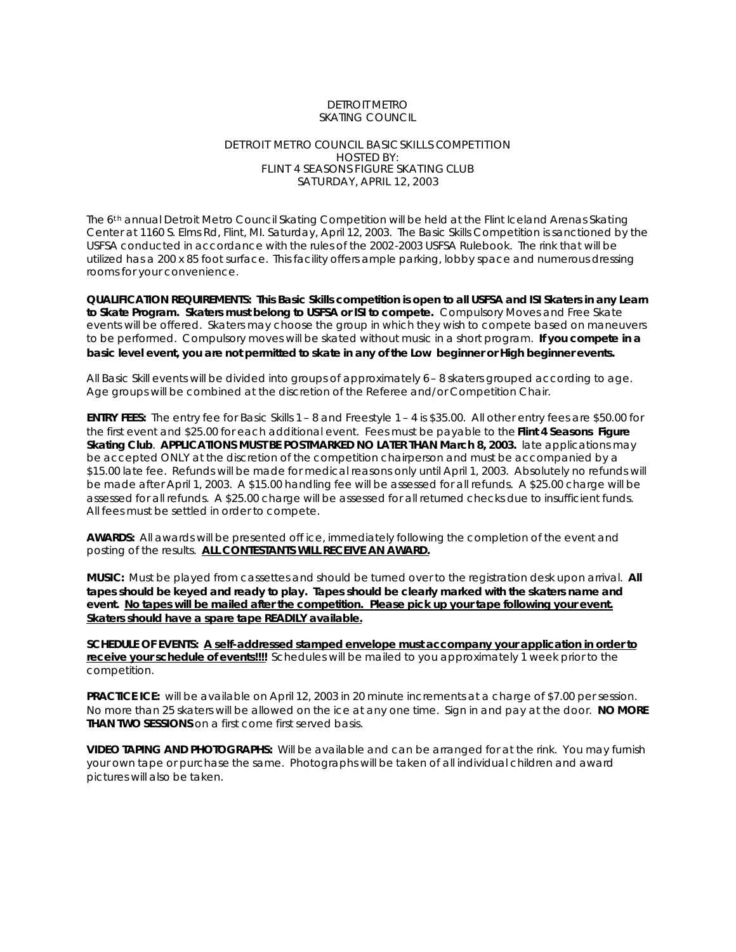#### DETROIT METRO SKATING COUNCIL

#### DETROIT METRO COUNCIL BASIC SKILLS COMPETITION HOSTED BY: FLINT 4 SEASONS FIGURE SKATING CLUB SATURDAY, APRIL 12, 2003

The 6<sup>th</sup> annual Detroit Metro Council Skating Competition will be held at the Flint Iceland Arenas Skating Center at 1160 S. Elms Rd, Flint, MI. Saturday, April 12, 2003. The Basic Skills Competition is sanctioned by the USFSA conducted in accordance with the rules of the 2002-2003 USFSA Rulebook. The rink that will be utilized has a 200 x 85 foot surface. This facility offers ample parking, lobby space and numerous dressing rooms for your convenience.

**QUALIFICATION REQUIREMENTS: This Basic Skills competition is open to all USFSA and ISI Skaters in any Learn to Skate Program. Skaters must belong to USFSA or ISI to compete.** Compulsory Moves and Free Skate events will be offered. Skaters may choose the group in which they wish to compete based on maneuvers to be performed. Compulsory moves will be skated without music in a short program. **If you compete in a basic level event, you are not permitted to skate in any of the Low beginner or High beginner events.**

All Basic Skill events will be divided into groups of approximately 6 – 8 skaters grouped according to age. Age groups will be combined at the discretion of the Referee and/or Competition Chair.

**ENTRY FEES:** The entry fee for Basic Skills 1 – 8 and Freestyle 1 – 4 is \$35.00. All other entry fees are \$50.00 for the first event and \$25.00 for each additional event. Fees must be payable to the **Flint 4 Seasons Figure Skating Club**. **APPLICATIONS MUST BE POSTMARKED NO LATER THAN March 8, 2003.** late applications may be accepted ONLY at the discretion of the competition chairperson and must be accompanied by a \$15.00 late fee. Refunds will be made for medical reasons only until April 1, 2003. Absolutely no refunds will be made after April 1, 2003. A \$15.00 handling fee will be assessed for all refunds. A \$25.00 charge will be assessed for all refunds. A \$25.00 charge will be assessed for all returned checks due to insufficient funds. All fees must be settled in order to compete.

**AWARDS:** All awards will be presented off ice, immediately following the completion of the event and posting of the results. **ALL CONTESTANTS WILL RECEIVE AN AWARD.**

**MUSIC:** Must be played from cassettes and should be turned over to the registration desk upon arrival. **All tapes should be keyed and ready to play. Tapes should be clearly marked with the skaters name and event. No tapes will be mailed after the competition. Please pick up your tape following your event. Skaters should have a spare tape READILY available.**

**SCHEDULE OF EVENTS: A self-addressed stamped envelope must accompany your application in order to receive your schedule of events!!!!** Schedules will be mailed to you approximately 1 week prior to the competition.

**PRACTICE ICE:** will be available on April 12, 2003 in 20 minute increments at a charge of \$7.00 per session. No more than 25 skaters will be allowed on the ice at any one time. Sign in and pay at the door. **NO MORE THAN TWO SESSIONS** on a first come first served basis.

**VIDEO TAPING AND PHOTOGRAPHS:** Will be available and can be arranged for at the rink. You may furnish your own tape or purchase the same. Photographs will be taken of all individual children and award pictures will also be taken.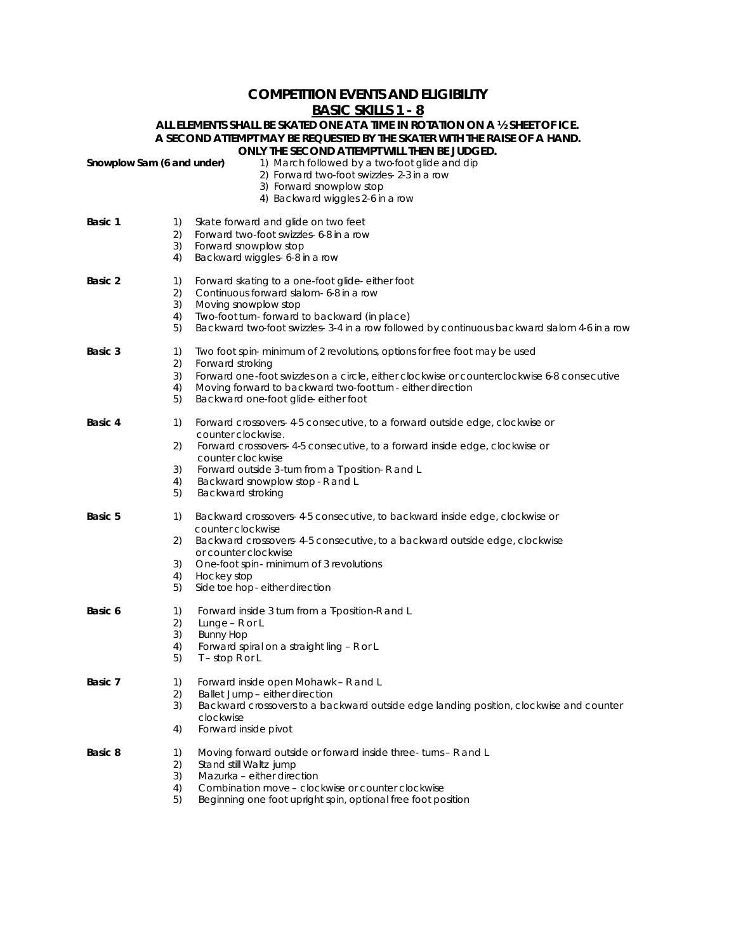## **COMPETITION EVENTS AND ELIGIBILITY BASIC SKILLS 1 - 8**

#### **ALL ELEMENTS SHALL BE SKATED ONE AT A TIME IN ROTATION ON A ½ SHEET OF ICE. A SECOND ATTEMPT MAY BE REQUESTED BY THE SKATER WITH THE RAISE OF A HAND. ONLY THE SECOND ATTEMPT WILL THEN BE JUDGED.**

| Snowplow Sam (6 and under) |          | 1) March followed by a two foot glide and dip<br>2) Forward two-foot swizzles- 2-3 in a row<br>3) Forward snowplow stop<br>4) Backward wiggles 2-6 in a row |
|----------------------------|----------|-------------------------------------------------------------------------------------------------------------------------------------------------------------|
| Basic 1                    | 1)       | Skate forward and glide on two feet                                                                                                                         |
|                            | 2)       | Forward two-foot swizzles-6-8 in a row                                                                                                                      |
|                            | 3)<br>4) | Forward snowplow stop<br>Backward wiggles- 6-8 in a row                                                                                                     |
| Basic 2                    | 1)       | Forward skating to a one-foot glide-either foot                                                                                                             |
|                            | 2)       | Continuous forward slalom- 6-8 in a row                                                                                                                     |
|                            | 3)<br>4) | Moving snowplow stop<br>Two-foot turn-forward to backward (in place)                                                                                        |
|                            | 5)       | Backward two foot swizzles-3-4 in a row followed by continuous backward slalom 4-6 in a row                                                                 |
| Basic 3                    | 1)       | Two foot spin-minimum of 2 revolutions, options for free foot may be used                                                                                   |
|                            | 2)<br>3) | Forward stroking<br>Forward one-foot swizzles on a circle, either clockwise or counterclockwise 6-8 consecutive                                             |
|                            | 4)       | Moving forward to backward two-foot turn - either direction                                                                                                 |
|                            | 5)       | Backward one-foot glide either foot                                                                                                                         |
| Basic 4                    | 1)       | Forward crossovers-4-5 consecutive, to a forward outside edge, clockwise or<br>counter clockwise.                                                           |
|                            | 2)       | Forward crossovers- 4-5 consecutive, to a forward inside edge, clockwise or<br>counter clockwise                                                            |
|                            | 3)       | Forward outside 3-turn from a T position-R and L                                                                                                            |
|                            | 4)<br>5) | Backward snowplow stop - R and L<br><b>Backward stroking</b>                                                                                                |
| <b>Basic 5</b>             | 1)       | Backward crossovers- 4-5 consecutive, to backward inside edge, clockwise or<br>counter clockwise                                                            |
|                            | 2)       | Backward crossovers- 4-5 consecutive, to a backward outside edge, clockwise<br>or counter clockwise                                                         |
|                            | 3)       | One-foot spin-minimum of 3 revolutions                                                                                                                      |
|                            | 4)       | Hockey stop                                                                                                                                                 |
|                            | 5)       | Side toe hop-either direction                                                                                                                               |
| Basic 6                    | 1)<br>2) | Forward inside 3 turn from a T-position-R and L<br>Lunge - $R$ or $L$                                                                                       |
|                            | 3)       | <b>Bunny Hop</b>                                                                                                                                            |
|                            | 4)       | Forward spiral on a straight ling - R or L                                                                                                                  |
|                            | 5)       | $T - stop R$ or L                                                                                                                                           |
| Basic 7                    | 1)       | Forward inside open Mohawk - R and L                                                                                                                        |
|                            | 2)       | Ballet Jump-either direction                                                                                                                                |
|                            | 3)       | Backward crossovers to a backward outside edge landing position, clockwise and counter                                                                      |
|                            | 4)       | clockwise<br>Forward inside pivot                                                                                                                           |
| Basic 8                    | 1)       | Moving forward outside or forward inside three- turns - R and L                                                                                             |
|                            | 2)       | Stand still Waltz jump                                                                                                                                      |
|                            | 3)<br>4) | Mazurka - either direction<br>Combination move – clockwise or counter clockwise                                                                             |
|                            | 5)       | Beginning one foot upright spin, optional free foot position                                                                                                |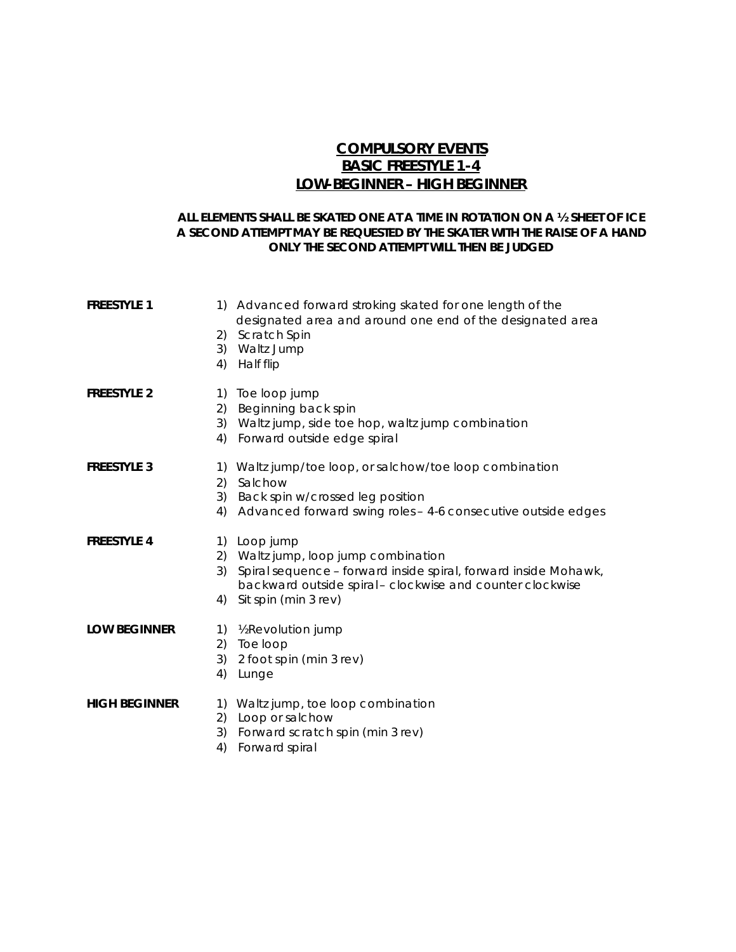# **COMPULSORY EVENTS BASIC FREESTYLE 1-4 LOW-BEGINNER – HIGH BEGINNER**

### **ALL ELEMENTS SHALL BE SKATED ONE AT A TIME IN ROTATION ON A ½ SHEET OF ICE A SECOND ATTEMPT MAY BE REQUESTED BY THE SKATER WITH THE RAISE OF A HAND ONLY THE SECOND ATTEMPT WILL THEN BE JUDGED**

| <b>FREESTYLE 1</b>   | 4)       | 1) Advanced forward stroking skated for one length of the<br>designated area and around one end of the designated area<br>2) Scratch Spin<br>3) Waltz Jump<br>Half flip                                    |
|----------------------|----------|------------------------------------------------------------------------------------------------------------------------------------------------------------------------------------------------------------|
| <b>FREESTYLE 2</b>   | 2)<br>4) | 1) Toe loop jump<br>Beginning back spin<br>3) Waltz jump, side toe hop, waltz jump combination<br>Forward outside edge spiral                                                                              |
| <b>FREESTYLE 3</b>   | 2)<br>4) | 1) Waltz jump/toe loop, or salchow/toe loop combination<br>Salchow<br>3) Back spin w/crossed leg position<br>Advanced forward swing roles - 4-6 consecutive outside edges                                  |
| <b>FREESTYLE 4</b>   | 3)<br>4) | 1) Loop jump<br>2) Waltz jump, loop jump combination<br>Spiral sequence - forward inside spiral, forward inside Mohawk,<br>backward outside spiral-clockwise and counter clockwise<br>Sit spin (min 3 rev) |
| <b>LOW BEGINNER</b>  | 3)<br>4) | 1) % Revolution jump<br>2) Toe loop<br>2 foot spin (min 3 rev)<br>Lunge                                                                                                                                    |
| <b>HIGH BEGINNER</b> | 2)<br>3) | 1) Waltz jump, toe loop combination<br>Loop or salchow<br>Forward scratch spin (min 3 rev)                                                                                                                 |

4) Forward spiral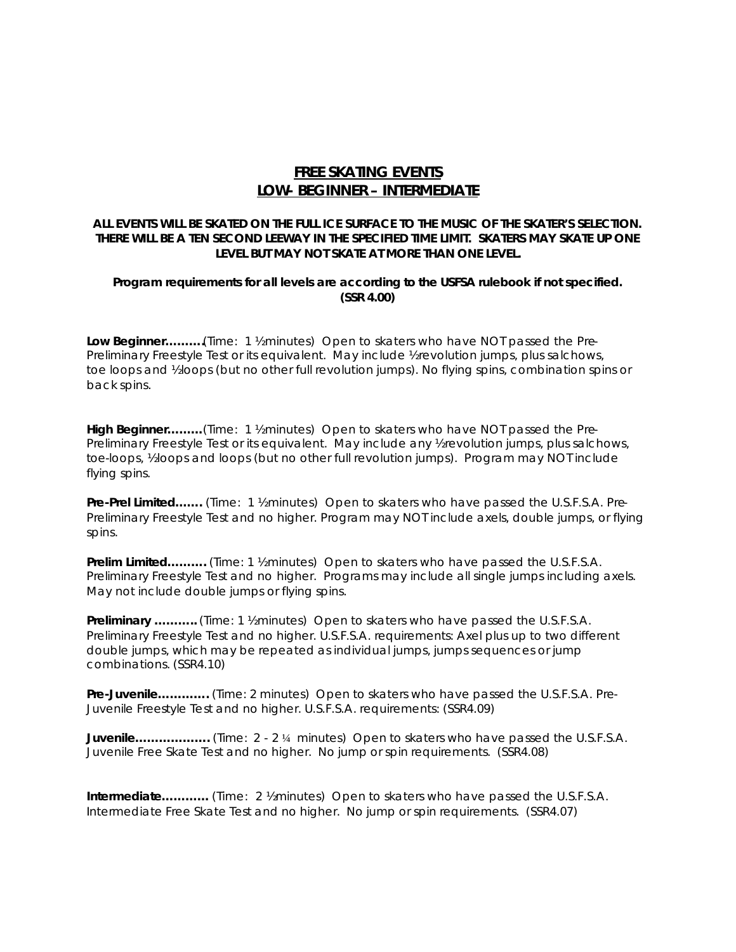## **FREE SKATING EVENTS LOW- BEGINNER – INTERMEDIATE**

### **ALL EVENTS WILL BE SKATED ON THE FULL ICE SURFACE TO THE MUSIC OF THE SKATER'S SELECTION. THERE WILL BE A TEN SECOND LEEWAY IN THE SPECIFIED TIME LIMIT. SKATERS MAY SKATE UP ONE LEVEL BUT MAY NOT SKATE AT MORE THAN ONE LEVEL.**

### **Program requirements for all levels are according to the USFSA rulebook if not specified. (SSR 4.00)**

**Low Beginner……….**(Time: 1 ½ minutes) Open to skaters who have NOT passed the Pre-Preliminary Freestyle Test or its equivalent. May include % revolution jumps, plus salchows, toe loops and ½ loops (but no other full revolution jumps). No flying spins, combination spins or back spins.

**High Beginner………**(Time: 1 ½ minutes) Open to skaters who have NOT passed the Pre-Preliminary Freestyle Test or its equivalent. May include any *l* revolution jumps, plus salchows, toe-loops, ½ loops and loops (but no other full revolution jumps). Program may NOT include flying spins.

**Pre-Prel Limited…….** (Time: 1 ½ minutes) Open to skaters who have passed the U.S.F.S.A. Pre-Preliminary Freestyle Test and no higher. Program may NOT include axels, double jumps, or flying spins.

**Prelim Limited……….** (Time: 1 ½ minutes) Open to skaters who have passed the U.S.F.S.A. Preliminary Freestyle Test and no higher. Programs may include all single jumps including axels. May not include double jumps or flying spins.

**Preliminary ………..** (Time: 1 ½ minutes) Open to skaters who have passed the U.S.F.S.A. Preliminary Freestyle Test and no higher. U.S.F.S.A. requirements: Axel plus up to two different double jumps, which may be repeated as individual jumps, jumps sequences or jump combinations. (SSR4.10)

**Pre-Juvenile………….** (Time: 2 minutes) Open to skaters who have passed the U.S.F.S.A. Pre-Juvenile Freestyle Test and no higher. U.S.F.S.A. requirements: (SSR4.09)

**Juvenile……………….** (Time: 2 - 2 ¼ minutes) Open to skaters who have passed the U.S.F.S.A. Juvenile Free Skate Test and no higher. No jump or spin requirements. (SSR4.08)

**Intermediate…………** (Time: 2 ½ minutes) Open to skaters who have passed the U.S.F.S.A. Intermediate Free Skate Test and no higher. No jump or spin requirements. (SSR4.07)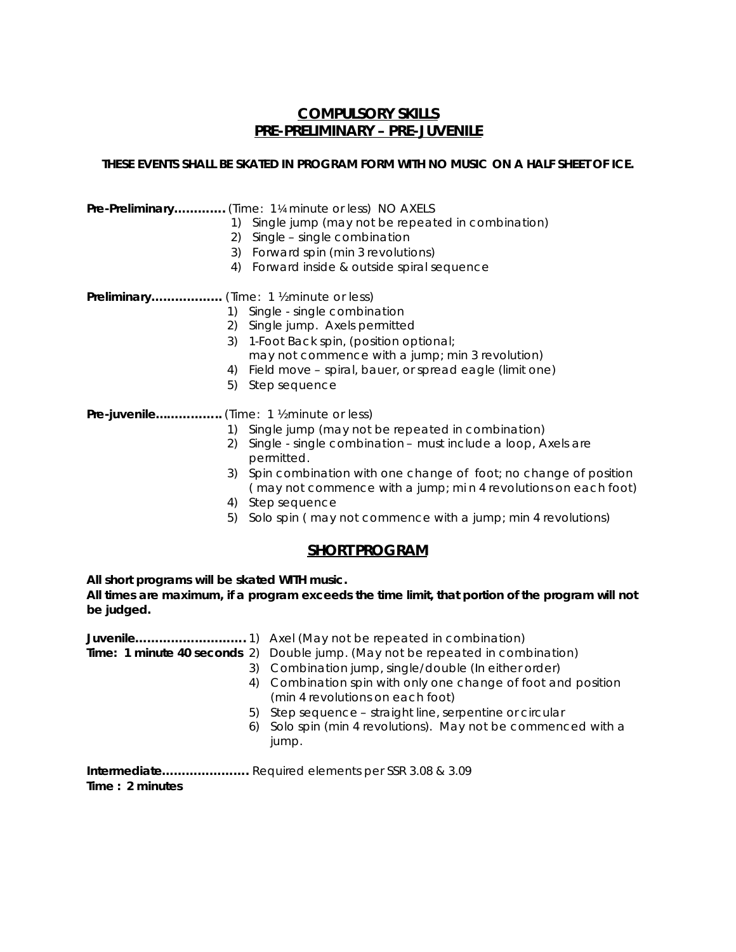## **COMPULSORY SKILLS PRE-PRELIMINARY – PRE-JUVENILE**

### **THESE EVENTS SHALL BE SKATED IN PROGRAM FORM WITH NO MUSIC ON A HALF SHEET OF ICE.**

|  | Pre-Preliminary (Time: 1¼ minute or less) NO AXELS |
|--|----------------------------------------------------|
|--|----------------------------------------------------|

- 1) Single jump (may not be repeated in combination)
- 2) Single single combination
- 3) Forward spin (min 3 revolutions)
- 4) Forward inside & outside spiral sequence

**Preliminary………………** (Time: 1 ½ minute or less)

- 1) Single single combination
- 2) Single jump. Axels permitted
- 3) 1-Foot Back spin, (position optional;
- may not commence with a jump; min 3 revolution)
- 4) Field move spiral, bauer, or spread eagle (limit one)
- 5) Step sequence

Pre-juvenile.................. (Time: 1 % minute or less)

- 1) Single jump (may not be repeated in combination)
- 2) Single single combination must include a loop, Axels are permitted.
- 3) Spin combination with one change of foot; no change of position ( may not commence with a jump; mi n 4 revolutions on each foot)
- 4) Step sequence
- 5) Solo spin ( may not commence with a jump; min 4 revolutions)

## **SHORT PROGRAM**

**All short programs will be skated WITH music.**

**All times are maximum, if a program exceeds the time limit, that portion of the program will not be judged.** 

| Time: 1 minute 40 seconds 2) Double jump. (May not be repeated in combination) |
|--------------------------------------------------------------------------------|
| 3) Combination jump, single/double (In either order)                           |
| 4) Combination spin with only one change of foot and position                  |
| (min 4 revolutions on each foot)                                               |
| 5) Step sequence - straight line, serpentine or circular                       |
| 6) Solo spin (min 4 revolutions). May not be commenced with a                  |
| jump.                                                                          |
|                                                                                |

**Intermediate………………….** Required elements per SSR 3.08 & 3.09 **Time : 2 minutes**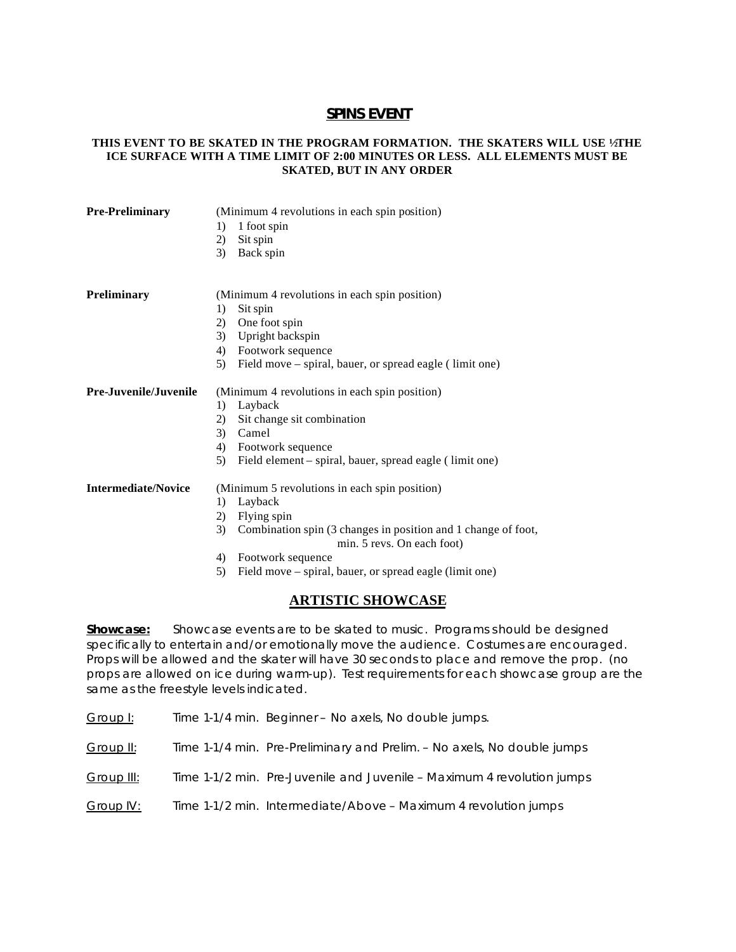## **SPINS EVENT**

#### **THIS EVENT TO BE SKATED IN THE PROGRAM FORMATION. THE SKATERS WILL USE ½ THE ICE SURFACE WITH A TIME LIMIT OF 2:00 MINUTES OR LESS. ALL ELEMENTS MUST BE SKATED, BUT IN ANY ORDER**

| <b>Pre-Preliminary</b>     | (Minimum 4 revolutions in each spin position)<br>1 foot spin<br>1)<br>Sit spin<br>2)<br>3)<br>Back spin |
|----------------------------|---------------------------------------------------------------------------------------------------------|
| Preliminary                | (Minimum 4 revolutions in each spin position)                                                           |
|                            | Sit spin<br>1)                                                                                          |
|                            | One foot spin<br>2)                                                                                     |
|                            | Upright backspin<br>3)                                                                                  |
|                            | Footwork sequence<br>4)                                                                                 |
|                            | Field move – spiral, bauer, or spread eagle (limit one)<br>5)                                           |
| Pre-Juvenile/Juvenile      | (Minimum 4 revolutions in each spin position)                                                           |
|                            | Layback<br>1)                                                                                           |
|                            | Sit change sit combination<br>2)                                                                        |
|                            | 3)<br>Camel                                                                                             |
|                            | Footwork sequence<br>4)                                                                                 |
|                            | Field element – spiral, bauer, spread eagle (limit one)<br>5)                                           |
| <b>Intermediate/Novice</b> | (Minimum 5 revolutions in each spin position)                                                           |
|                            | Layback<br>1)                                                                                           |
|                            | Flying spin<br>2)                                                                                       |
|                            | Combination spin (3 changes in position and 1 change of foot,<br>3)<br>min. 5 revs. On each foot)       |
|                            | Footwork sequence<br>4)                                                                                 |
|                            | Field move – spiral, bauer, or spread eagle (limit one)<br>5)                                           |

## **ARTISTIC SHOWCASE**

**Showcase:** Showcase events are to be skated to music. Programs s hould be designed specifically to entertain and/or emotionally move the audience. Costumes are encouraged. Props will be allowed and the skater will have 30 seconds to place and remove the prop. (no props are allowed on ice during warm-up). Test requirements for each showcase group are the same as the freestyle levels indicated.

Group I: Time 1-1/4 min. Beginner - No axels, No double jumps.

Group  $II:$  Time 1-1/4 min. Pre-Preliminary and Prelim. – No axels, No double jumps

Group III: Time 1-1/2 min. Pre-Juvenile and Juvenile – Maximum 4 revolution jumps

Group IV: Time 1-1/2 min. Intermediate/Above - Maximum 4 revolution jumps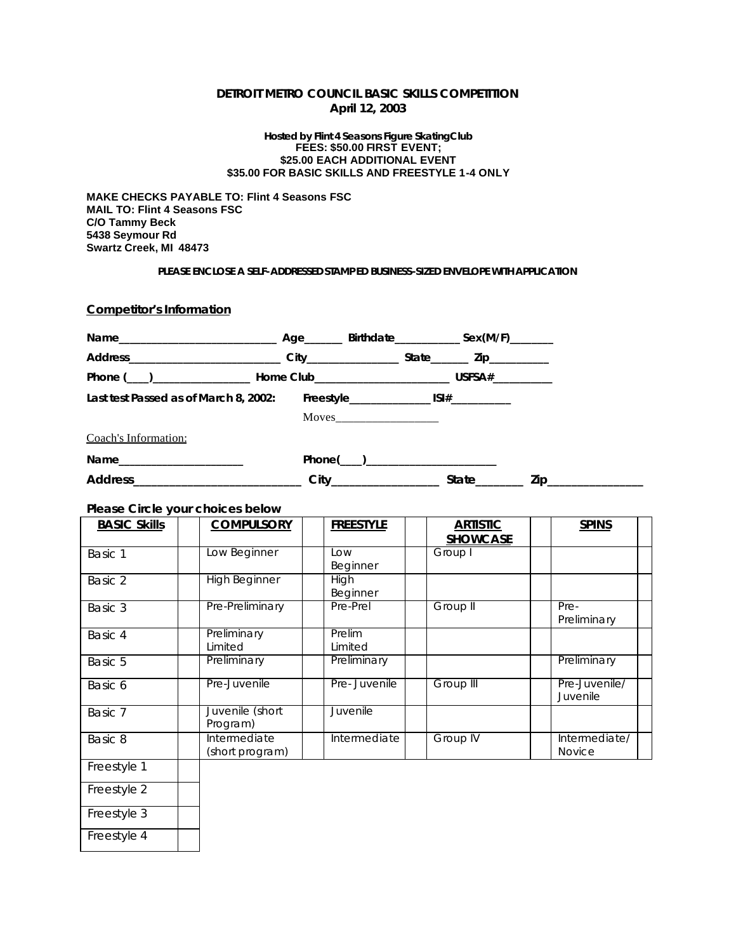### **DETROIT METRO COUNCIL BASIC SKILLS COMPETITION April 12, 2003**

#### **Hosted by Flint 4 Seasons Figure SkatingClub FEES: \$50.00 FIRST EVENT; \$25.00 EACH ADDITIONAL EVENT \$35.00 FOR BASIC SKILLS AND FREESTYLE 1-4 ONLY**

**MAKE CHECKS PAYABLE TO: Flint 4 Seasons FSC MAIL TO: Flint 4 Seasons FSC C/O Tammy Beck 5438 Seymour Rd Swartz Creek, MI 48473**

#### **PLEASE ENCLOSE A SELF-ADDRESSED STAMP ED** *BUSINESS-SIZED* **ENVELOPE WITH APPLICATION**

**Competitor's Information**

| Last test Passed as of March 8, 2002: |                        |                              |                     |
|---------------------------------------|------------------------|------------------------------|---------------------|
|                                       |                        |                              |                     |
| Coach's Information:                  |                        |                              |                     |
| Name ____________________             | $Phone(\_)$            |                              |                     |
|                                       | City__________________ | $State$ <sub>_________</sub> | Zip________________ |

#### **Please Circle your choices below**

| <b>BASIC Skills</b> | <b>COMPULSORY</b>    | <b>FREESTYLE</b> | <b>ARTISTIC</b>  | <b>SPINS</b>              |
|---------------------|----------------------|------------------|------------------|---------------------------|
|                     |                      |                  | <b>SHOWCASE</b>  |                           |
| Basic 1             | Low Beginner         | Low              | Group I          |                           |
|                     |                      | Beginner         |                  |                           |
| Basic 2             | <b>High Beginner</b> | <b>High</b>      |                  |                           |
|                     |                      | Beginner         |                  |                           |
| Basic 3             | Pre-Preliminary      | Pre-Prel         | Group II         | Pre-                      |
|                     |                      |                  |                  | Preliminary               |
| Basic 4             | Preliminary          | Prelim           |                  |                           |
|                     | Limited              | Limited          |                  |                           |
| Basic 5             | Preliminary          | Preliminary      |                  | Preliminary               |
| Basic 6             | Pre-Juvenile         | Pre-Juvenile     | <b>Group III</b> | Pre-Juvenile/<br>Juvenile |
| Basic 7             | Juvenile (short      | Juvenile         |                  |                           |
|                     | Program)             |                  |                  |                           |
| Basic 8             | Intermediate         | Intermediate     | <b>Group IV</b>  | Intermediate/             |
|                     | (short program)      |                  |                  | <b>Novice</b>             |
| Freestyle 1         |                      |                  |                  |                           |
| Freestyle 2         |                      |                  |                  |                           |
| Freestyle 3         |                      |                  |                  |                           |
| Freestyle 4         |                      |                  |                  |                           |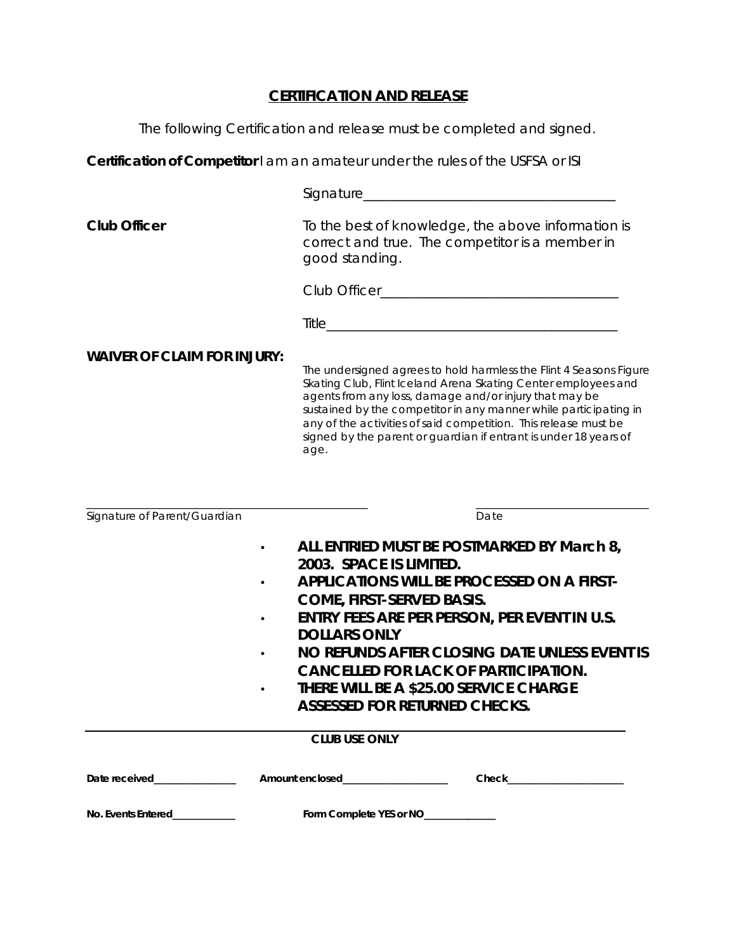# **CERTIFICATION AND RELEASE**

The following Certification and release must be completed and signed.

**Certification of Competitor** I am an amateur under the rules of the USFSA or ISI

| <b>Club Officer</b>                | To the best of knowledge, the above information is<br>correct and true. The competitor is a member in<br>good standing.                                                                                                                                                                                                                                                                                           |  |
|------------------------------------|-------------------------------------------------------------------------------------------------------------------------------------------------------------------------------------------------------------------------------------------------------------------------------------------------------------------------------------------------------------------------------------------------------------------|--|
|                                    |                                                                                                                                                                                                                                                                                                                                                                                                                   |  |
|                                    |                                                                                                                                                                                                                                                                                                                                                                                                                   |  |
| <b>WAIVER OF CLAIM FOR INJURY:</b> | The undersigned agrees to hold harmless the Flint 4 Seasons Figure<br>Skating Club, Flint Iceland Arena Skating Center employees and<br>agents from any loss, damage and/or injury that may be<br>sustained by the competitor in any manner while participating in<br>any of the activities of said competition. This release must be<br>signed by the parent or guardian if entrant is under 18 years of<br>age. |  |
|                                    |                                                                                                                                                                                                                                                                                                                                                                                                                   |  |
| Signature of Parent/Guardian       | Date                                                                                                                                                                                                                                                                                                                                                                                                              |  |
| $\bullet$                          | ALL ENTRIED MUST BE POSTMARKED BY March 8,                                                                                                                                                                                                                                                                                                                                                                        |  |
|                                    | 2003. SPACE IS LIMITED.                                                                                                                                                                                                                                                                                                                                                                                           |  |
|                                    | <b>APPLICATIONS WILL BE PROCESSED ON A FIRST-</b>                                                                                                                                                                                                                                                                                                                                                                 |  |
| $\bullet$                          | <b>COME, FIRST-SERVED BASIS.</b><br><b>ENTRY FEES ARE PER PERSON, PER EVENT IN U.S.</b>                                                                                                                                                                                                                                                                                                                           |  |
|                                    | <b>DOLLARS ONLY</b>                                                                                                                                                                                                                                                                                                                                                                                               |  |
|                                    | NO REFUNDS AFTER CLOSING DATE UNLESS EVENT IS                                                                                                                                                                                                                                                                                                                                                                     |  |
|                                    | <b>CANCELLED FOR LACK OF PARTICIPATION.</b><br><b>THERE WILL BE A \$25.00 SERVICE CHARGE</b>                                                                                                                                                                                                                                                                                                                      |  |
|                                    | <b>ASSESSED FOR RETURNED CHECKS.</b>                                                                                                                                                                                                                                                                                                                                                                              |  |
|                                    | <b>CLUB USE ONLY</b>                                                                                                                                                                                                                                                                                                                                                                                              |  |
|                                    | Amount enclosed______________________<br>Check <b>Check</b>                                                                                                                                                                                                                                                                                                                                                       |  |